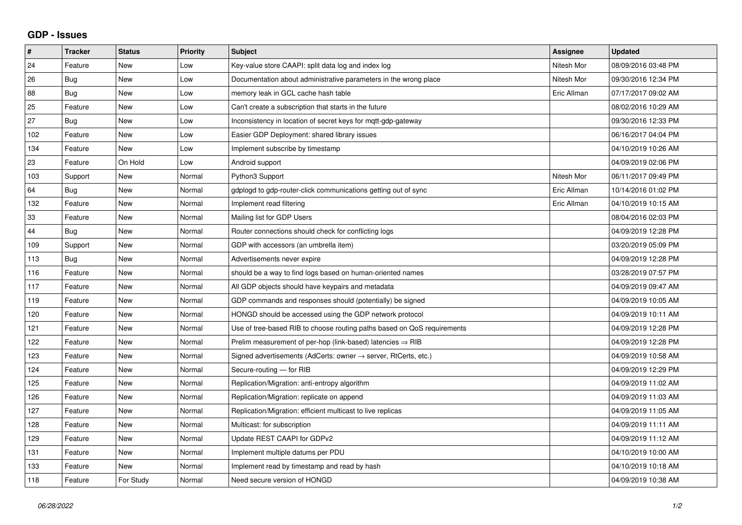## **GDP - Issues**

| $\pmb{\#}$ | <b>Tracker</b> | <b>Status</b> | <b>Priority</b> | <b>Subject</b>                                                             | Assignee    | <b>Updated</b>      |
|------------|----------------|---------------|-----------------|----------------------------------------------------------------------------|-------------|---------------------|
| 24         | Feature        | <b>New</b>    | Low             | Key-value store CAAPI: split data log and index log                        | Nitesh Mor  | 08/09/2016 03:48 PM |
| 26         | <b>Bug</b>     | <b>New</b>    | Low             | Documentation about administrative parameters in the wrong place           | Nitesh Mor  | 09/30/2016 12:34 PM |
| 88         | Bug            | New           | Low             | memory leak in GCL cache hash table                                        | Eric Allman | 07/17/2017 09:02 AM |
| 25         | Feature        | <b>New</b>    | Low             | Can't create a subscription that starts in the future                      |             | 08/02/2016 10:29 AM |
| 27         | Bug            | <b>New</b>    | Low             | Inconsistency in location of secret keys for mqtt-gdp-gateway              |             | 09/30/2016 12:33 PM |
| 102        | Feature        | <b>New</b>    | Low             | Easier GDP Deployment: shared library issues                               |             | 06/16/2017 04:04 PM |
| 134        | Feature        | New           | Low             | Implement subscribe by timestamp                                           |             | 04/10/2019 10:26 AM |
| 23         | Feature        | On Hold       | Low             | Android support                                                            |             | 04/09/2019 02:06 PM |
| 103        | Support        | <b>New</b>    | Normal          | Python3 Support                                                            | Nitesh Mor  | 06/11/2017 09:49 PM |
| 64         | Bug            | <b>New</b>    | Normal          | gdplogd to gdp-router-click communications getting out of sync             | Eric Allman | 10/14/2016 01:02 PM |
| 132        | Feature        | <b>New</b>    | Normal          | Implement read filtering                                                   | Eric Allman | 04/10/2019 10:15 AM |
| 33         | Feature        | New           | Normal          | Mailing list for GDP Users                                                 |             | 08/04/2016 02:03 PM |
| 44         | Bug            | <b>New</b>    | Normal          | Router connections should check for conflicting logs                       |             | 04/09/2019 12:28 PM |
| 109        | Support        | <b>New</b>    | Normal          | GDP with accessors (an umbrella item)                                      |             | 03/20/2019 05:09 PM |
| 113        | Bug            | <b>New</b>    | Normal          | Advertisements never expire                                                |             | 04/09/2019 12:28 PM |
| 116        | Feature        | <b>New</b>    | Normal          | should be a way to find logs based on human-oriented names                 |             | 03/28/2019 07:57 PM |
| 117        | Feature        | <b>New</b>    | Normal          | All GDP objects should have keypairs and metadata                          |             | 04/09/2019 09:47 AM |
| 119        | Feature        | <b>New</b>    | Normal          | GDP commands and responses should (potentially) be signed                  |             | 04/09/2019 10:05 AM |
| 120        | Feature        | New           | Normal          | HONGD should be accessed using the GDP network protocol                    |             | 04/09/2019 10:11 AM |
| 121        | Feature        | <b>New</b>    | Normal          | Use of tree-based RIB to choose routing paths based on QoS requirements    |             | 04/09/2019 12:28 PM |
| 122        | Feature        | <b>New</b>    | Normal          | Prelim measurement of per-hop (link-based) latencies $\Rightarrow$ RIB     |             | 04/09/2019 12:28 PM |
| 123        | Feature        | <b>New</b>    | Normal          | Signed advertisements (AdCerts: owner $\rightarrow$ server, RtCerts, etc.) |             | 04/09/2019 10:58 AM |
| 124        | Feature        | New           | Normal          | Secure-routing - for RIB                                                   |             | 04/09/2019 12:29 PM |
| 125        | Feature        | <b>New</b>    | Normal          | Replication/Migration: anti-entropy algorithm                              |             | 04/09/2019 11:02 AM |
| 126        | Feature        | <b>New</b>    | Normal          | Replication/Migration: replicate on append                                 |             | 04/09/2019 11:03 AM |
| 127        | Feature        | <b>New</b>    | Normal          | Replication/Migration: efficient multicast to live replicas                |             | 04/09/2019 11:05 AM |
| 128        | Feature        | <b>New</b>    | Normal          | Multicast: for subscription                                                |             | 04/09/2019 11:11 AM |
| 129        | Feature        | <b>New</b>    | Normal          | Update REST CAAPI for GDPv2                                                |             | 04/09/2019 11:12 AM |
| 131        | Feature        | <b>New</b>    | Normal          | Implement multiple datums per PDU                                          |             | 04/10/2019 10:00 AM |
| 133        | Feature        | <b>New</b>    | Normal          | Implement read by timestamp and read by hash                               |             | 04/10/2019 10:18 AM |
| 118        | Feature        | For Study     | Normal          | Need secure version of HONGD                                               |             | 04/09/2019 10:38 AM |